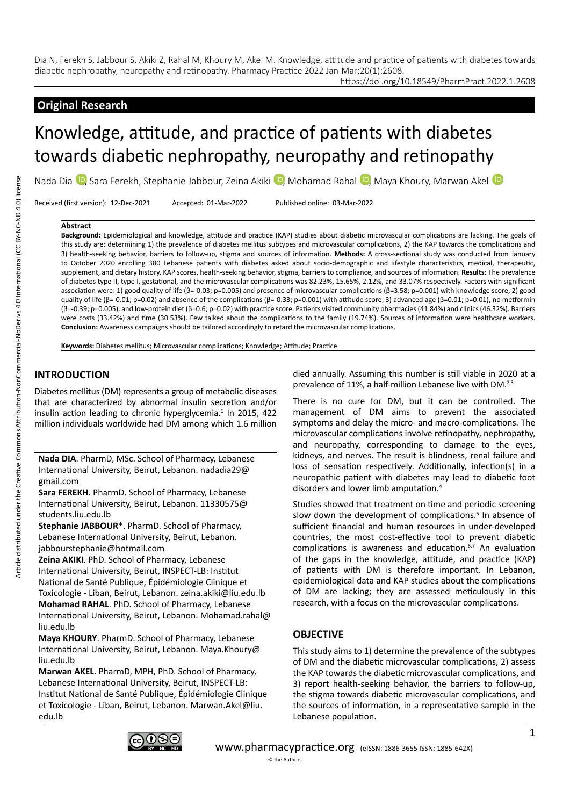https://doi.org/10.18549/PharmPract.2022.1.2608

# **Original Research**

# Knowledge, attitude, and practice of patients with diabetes towards diabetic nephropathy, neuropathy and retinopathy

NadaDia <sup>10</sup>, Sara Ferekh, Stephanie Jabbour, Zeina Akiki <sup>10</sup>, Mohamad Rahal <sup>10</sup>, Maya Khoury, Marwan Akel <sup>10</sup>

Received (first version): 12-Dec-2021 Accepted: 01-Mar-2022 Published online: 03-Mar-2022

#### **Abstract**

**Background:** Epidemiological and knowledge, attitude and practice (KAP) studies about diabetic microvascular complications are lacking. The goals of this study are: determining 1) the prevalence of diabetes mellitus subtypes and microvascular complications, 2) the KAP towards the complications and 3) health-seeking behavior, barriers to follow-up, stigma and sources of information. **Methods:** A cross-sectional study was conducted from January to October 2020 enrolling 380 Lebanese patients with diabetes asked about socio-demographic and lifestyle characteristics, medical, therapeutic, supplement, and dietary history, KAP scores, health-seeking behavior, stigma, barriers to compliance, and sources of information. **Results:** The prevalence of diabetes type II, type I, gestational, and the microvascular complications was 82.23%, 15.65%, 2.12%, and 33.07% respectively. Factors with significant association were: 1) good quality of life (β=-0.03; p=0.005) and presence of microvascular complications (β=3.58; p=0.001) with knowledge score, 2) good quality of life (β=-0.01; p=0.02) and absence of the complications (β=-0.33; p=0.001) with attitude score, 3) advanced age (β=0.01; p=0.01), no metformin (β=-0.39; p=0.005), and low-protein diet (β=0.6; p=0.02) with practice score. Patients visited community pharmacies (41.84%) and clinics (46.32%). Barriers were costs (33.42%) and time (30.53%). Few talked about the complications to the family (19.74%). Sources of information were healthcare workers. **Conclusion:** Awareness campaigns should be tailored accordingly to retard the microvascular complications.

**Keywords:** Diabetes mellitus; Microvascular complications; Knowledge; Attitude; Practice

# **INTRODUCTION**

Diabetes mellitus (DM) represents a group of metabolic diseases that are characterized by abnormal insulin secretion and/or insulin action leading to chronic hyperglycemia.<sup>1</sup> In 2015, 422 million individuals worldwide had DM among which 1.6 million

**Nada DIA**. PharmD, MSc. School of Pharmacy, Lebanese International University, Beirut, Lebanon. nadadia29@ gmail.com

**Sara FEREKH**. PharmD. School of Pharmacy, Lebanese International University, Beirut, Lebanon. 11330575@ students.liu.edu.lb

**Stephanie JABBOUR**\*. PharmD. School of Pharmacy, Lebanese International University, Beirut, Lebanon. jabbourstephanie@hotmail.com

**Zeina AKIKI**. PhD. School of Pharmacy, Lebanese International University, Beirut, INSPECT-LB: Institut National de Santé Publique, Épidémiologie Clinique et Toxicologie - Liban, Beirut, Lebanon. zeina.akiki@liu.edu.lb **Mohamad RAHAL**. PhD. School of Pharmacy, Lebanese International University, Beirut, Lebanon. Mohamad.rahal@ liu.edu.lb

**Maya KHOURY**. PharmD. School of Pharmacy, Lebanese International University, Beirut, Lebanon. Maya.Khoury@ liu.edu.lb

**Marwan AKEL**. PharmD, MPH, PhD. School of Pharmacy, Lebanese International University, Beirut, INSPECT-LB: Institut National de Santé Publique, Épidémiologie Clinique et Toxicologie - Liban, Beirut, Lebanon. Marwan.Akel@liu. edu.lb

died annually. Assuming this number is still viable in 2020 at a prevalence of 11%, a half-million Lebanese live with DM.<sup>2,3</sup>

There is no cure for DM, but it can be controlled. The management of DM aims to prevent the associated symptoms and delay the micro- and macro-complications. The microvascular complications involve retinopathy, nephropathy, and neuropathy, corresponding to damage to the eyes, kidneys, and nerves. The result is blindness, renal failure and loss of sensation respectively. Additionally, infection(s) in a neuropathic patient with diabetes may lead to diabetic foot disorders and lower limb amputation.4

Studies showed that treatment on time and periodic screening slow down the development of complications.<sup>5</sup> In absence of sufficient financial and human resources in under-developed countries, the most cost-effective tool to prevent diabetic complications is awareness and education.<sup>6,7</sup> An evaluation of the gaps in the knowledge, attitude, and practice (KAP) of patients with DM is therefore important. In Lebanon, epidemiological data and KAP studies about the complications of DM are lacking; they are assessed meticulously in this research, with a focus on the microvascular complications.

# **OBJECTIVE**

This study aims to 1) determine the prevalence of the subtypes of DM and the diabetic microvascular complications, 2) assess the KAP towards the diabetic microvascular complications, and 3) report health-seeking behavior, the barriers to follow-up, the stigma towards diabetic microvascular complications, and the sources of information, in a representative sample in the Lebanese population.

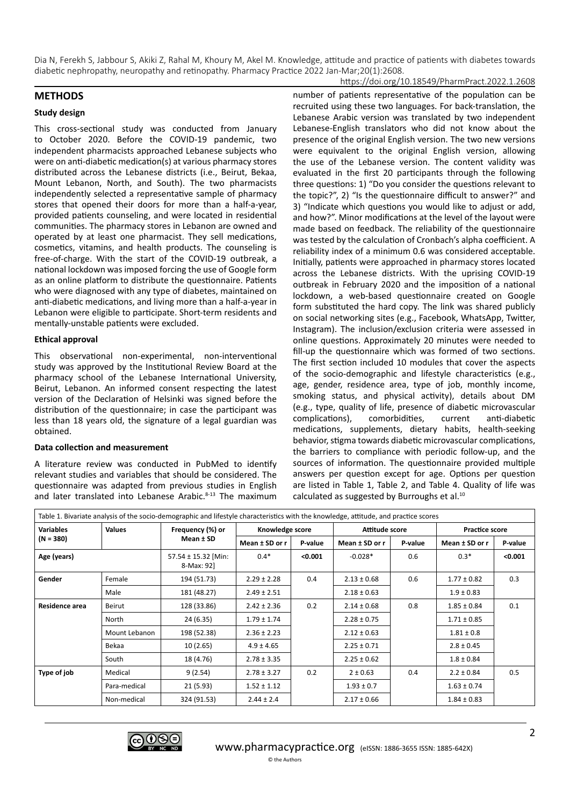#### https://doi.org/10.18549/PharmPract.2022.1.2608

## **METHODS**

#### **Study design**

This cross-sectional study was conducted from January to October 2020. Before the COVID-19 pandemic, two independent pharmacists approached Lebanese subjects who were on anti-diabetic medication(s) at various pharmacy stores distributed across the Lebanese districts (i.e., Beirut, Bekaa, Mount Lebanon, North, and South). The two pharmacists independently selected a representative sample of pharmacy stores that opened their doors for more than a half-a-year, provided patients counseling, and were located in residential communities. The pharmacy stores in Lebanon are owned and operated by at least one pharmacist. They sell medications, cosmetics, vitamins, and health products. The counseling is free-of-charge. With the start of the COVID-19 outbreak, a national lockdown was imposed forcing the use of Google form as an online platform to distribute the questionnaire. Patients who were diagnosed with any type of diabetes, maintained on anti-diabetic medications, and living more than a half-a-year in Lebanon were eligible to participate. Short-term residents and mentally-unstable patients were excluded.

#### **Ethical approval**

This observational non-experimental, non-interventional study was approved by the Institutional Review Board at the pharmacy school of the Lebanese International University, Beirut, Lebanon. An informed consent respecting the latest version of the Declaration of Helsinki was signed before the distribution of the questionnaire; in case the participant was less than 18 years old, the signature of a legal guardian was obtained.

#### **Data collection and measurement**

A literature review was conducted in PubMed to identify relevant studies and variables that should be considered. The questionnaire was adapted from previous studies in English and later translated into Lebanese Arabic.<sup>8-13</sup> The maximum number of patients representative of the population can be recruited using these two languages. For back-translation, the Lebanese Arabic version was translated by two independent Lebanese-English translators who did not know about the presence of the original English version. The two new versions were equivalent to the original English version, allowing the use of the Lebanese version. The content validity was evaluated in the first 20 participants through the following three questions: 1) "Do you consider the questions relevant to the topic?", 2) "Is the questionnaire difficult to answer?" and 3) "Indicate which questions you would like to adjust or add, and how?". Minor modifications at the level of the layout were made based on feedback. The reliability of the questionnaire was tested by the calculation of Cronbach's alpha coefficient. A reliability index of a minimum 0.6 was considered acceptable. Initially, patients were approached in pharmacy stores located across the Lebanese districts. With the uprising COVID-19 outbreak in February 2020 and the imposition of a national lockdown, a web-based questionnaire created on Google form substituted the hard copy. The link was shared publicly on social networking sites (e.g., Facebook, WhatsApp, Twitter, Instagram). The inclusion/exclusion criteria were assessed in online questions. Approximately 20 minutes were needed to fill-up the questionnaire which was formed of two sections. The first section included 10 modules that cover the aspects of the socio-demographic and lifestyle characteristics (e.g., age, gender, residence area, type of job, monthly income, smoking status, and physical activity), details about DM (e.g., type, quality of life, presence of diabetic microvascular complications), comorbidities, current anti-diabetic medications, supplements, dietary habits, health-seeking behavior, stigma towards diabetic microvascular complications, the barriers to compliance with periodic follow-up, and the sources of information. The questionnaire provided multiple answers per question except for age. Options per question are listed in Table 1, Table 2, and Table 4. Quality of life was calculated as suggested by Burroughs et al.10

| Table 1. Bivariate analysis of the socio-demographic and lifestyle characteristics with the knowledge, attitude, and practice scores |               |                                   |                 |         |                  |         |                       |         |
|--------------------------------------------------------------------------------------------------------------------------------------|---------------|-----------------------------------|-----------------|---------|------------------|---------|-----------------------|---------|
| <b>Variables</b>                                                                                                                     | <b>Values</b> | Frequency (%) or<br>Mean ± SD     | Knowledge score |         | Attitude score   |         | <b>Practice score</b> |         |
| $(N = 380)$                                                                                                                          |               |                                   | Mean ± SD or r  | P-value | Mean $±$ SD or r | P-value | Mean ± SD or r        | P-value |
| Age (years)                                                                                                                          |               | 57.54 ± 15.32 [Min:<br>8-Max: 92] | $0.4*$          | < 0.001 | $-0.028*$        | 0.6     | $0.3*$                | < 0.001 |
| Gender                                                                                                                               | Female        | 194 (51.73)                       | $2.29 \pm 2.28$ | 0.4     | $2.13 \pm 0.68$  | 0.6     | $1.77 \pm 0.82$       | 0.3     |
|                                                                                                                                      | Male          | 181 (48.27)                       | $2.49 \pm 2.51$ |         | $2.18 \pm 0.63$  |         | $1.9 \pm 0.83$        |         |
| Residence area                                                                                                                       | Beirut        | 128 (33.86)                       | $2.42 \pm 2.36$ | 0.2     | $2.14 \pm 0.68$  | 0.8     | $1.85 \pm 0.84$       | 0.1     |
|                                                                                                                                      | North         | 24 (6.35)                         | $1.79 \pm 1.74$ |         | $2.28 \pm 0.75$  |         | $1.71 \pm 0.85$       |         |
|                                                                                                                                      | Mount Lebanon | 198 (52.38)                       | $2.36 \pm 2.23$ |         | $2.12 \pm 0.63$  |         | $1.81 \pm 0.8$        |         |
|                                                                                                                                      | Bekaa         | 10(2.65)                          | $4.9 \pm 4.65$  |         | $2.25 \pm 0.71$  |         | $2.8 \pm 0.45$        |         |
|                                                                                                                                      | South         | 18 (4.76)                         | $2.78 \pm 3.35$ |         | $2.25 \pm 0.62$  |         | $1.8 \pm 0.84$        |         |
| Type of job                                                                                                                          | Medical       | 9(2.54)                           | $2.78 \pm 3.27$ | 0.2     | $2 \pm 0.63$     | 0.4     | $2.2 \pm 0.84$        | 0.5     |
|                                                                                                                                      | Para-medical  | 21(5.93)                          | $1.52 \pm 1.12$ |         | $1.93 \pm 0.7$   |         | $1.63 \pm 0.74$       |         |
|                                                                                                                                      | Non-medical   | 324 (91.53)                       | $2.44 \pm 2.4$  |         | $2.17 \pm 0.66$  |         | $1.84 \pm 0.83$       |         |

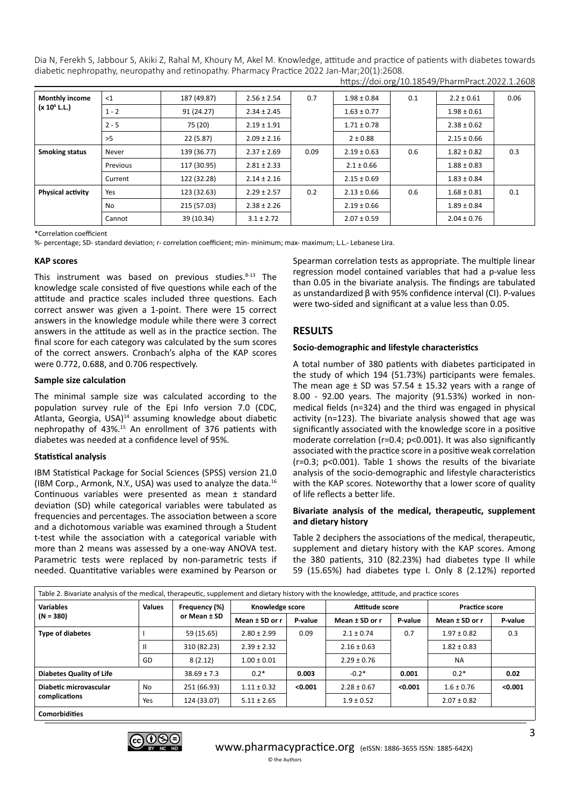| <b>Monthly income</b><br>(x 10 <sup>6</sup> L.L.) | <1       | 187 (49.87) | $2.56 \pm 2.54$ | 0.7  | $1.98 \pm 0.84$ | 0.1 | $2.2 \pm 0.61$  | 0.06 |
|---------------------------------------------------|----------|-------------|-----------------|------|-----------------|-----|-----------------|------|
|                                                   | $1 - 2$  | 91 (24.27)  | $2.34 \pm 2.45$ |      | $1.63 \pm 0.77$ |     | $1.98 \pm 0.61$ |      |
|                                                   | $2 - 5$  | 75 (20)     | $2.19 \pm 1.91$ |      | $1.71 \pm 0.78$ |     | $2.38 \pm 0.62$ |      |
|                                                   | >5       | 22(5.87)    | $2.09 \pm 2.16$ |      | $2 \pm 0.88$    |     | $2.15 \pm 0.66$ |      |
| <b>Smoking status</b>                             | Never    | 139 (36.77) | $2.37 \pm 2.69$ | 0.09 | $2.19 \pm 0.63$ | 0.6 | $1.82 \pm 0.82$ | 0.3  |
|                                                   | Previous | 117 (30.95) | $2.81 \pm 2.33$ |      | $2.1 \pm 0.66$  |     | $1.88 \pm 0.83$ |      |
|                                                   | Current  | 122 (32.28) | $2.14 \pm 2.16$ |      | $2.15 \pm 0.69$ |     | $1.83 \pm 0.84$ |      |
| <b>Physical activity</b>                          | Yes      | 123 (32.63) | $2.29 \pm 2.57$ | 0.2  | $2.13 \pm 0.66$ | 0.6 | $1.68 \pm 0.81$ | 0.1  |
|                                                   | No       | 215 (57.03) | $2.38 \pm 2.26$ |      | $2.19 \pm 0.66$ |     | $1.89 \pm 0.84$ |      |
|                                                   | Cannot   | 39 (10.34)  | $3.1 \pm 2.72$  |      | $2.07 \pm 0.59$ |     | $2.04 \pm 0.76$ |      |

https://doi.org/10.18549/PharmPract.2022.1.2608

\*Correlation coefficient

%- percentage; SD- standard deviation; r- correlation coefficient; min- minimum; max- maximum; L.L.- Lebanese Lira.

#### **KAP scores**

This instrument was based on previous studies. $8-13$  The knowledge scale consisted of five questions while each of the attitude and practice scales included three questions. Each correct answer was given a 1-point. There were 15 correct answers in the knowledge module while there were 3 correct answers in the attitude as well as in the practice section. The final score for each category was calculated by the sum scores of the correct answers. Cronbach's alpha of the KAP scores were 0.772, 0.688, and 0.706 respectively.

#### **Sample size calculation**

The minimal sample size was calculated according to the population survey rule of the Epi Info version 7.0 (CDC, Atlanta, Georgia, USA)<sup>14</sup> assuming knowledge about diabetic nephropathy of 43%.15 An enrollment of 376 patients with diabetes was needed at a confidence level of 95%.

#### **Statistical analysis**

IBM Statistical Package for Social Sciences (SPSS) version 21.0 (IBM Corp., Armonk, N.Y., USA) was used to analyze the data.16 Continuous variables were presented as mean ± standard deviation (SD) while categorical variables were tabulated as frequencies and percentages. The association between a score and a dichotomous variable was examined through a Student t-test while the association with a categorical variable with more than 2 means was assessed by a one-way ANOVA test. Parametric tests were replaced by non-parametric tests if needed. Quantitative variables were examined by Pearson or

Spearman correlation tests as appropriate. The multiple linear regression model contained variables that had a p-value less than 0.05 in the bivariate analysis. The findings are tabulated as unstandardized β with 95% confidence interval (CI). P-values were two-sided and significant at a value less than 0.05.

# **RESULTS**

#### **Socio-demographic and lifestyle characteristics**

A total number of 380 patients with diabetes participated in the study of which 194 (51.73%) participants were females. The mean age  $\pm$  SD was 57.54  $\pm$  15.32 years with a range of 8.00 - 92.00 years. The majority (91.53%) worked in nonmedical fields (n=324) and the third was engaged in physical activity (n=123). The bivariate analysis showed that age was significantly associated with the knowledge score in a positive moderate correlation (r=0.4; p<0.001). It was also significantly associated with the practice score in a positive weak correlation (r=0.3; p<0.001). Table 1 shows the results of the bivariate analysis of the socio-demographic and lifestyle characteristics with the KAP scores. Noteworthy that a lower score of quality of life reflects a better life.

#### **Bivariate analysis of the medical, therapeutic, supplement and dietary history**

Table 2 deciphers the associations of the medical, therapeutic, supplement and dietary history with the KAP scores. Among the 380 patients, 310 (82.23%) had diabetes type II while 59 (15.65%) had diabetes type I. Only 8 (2.12%) reported

| Table 2. Bivariate analysis of the medical, therapeutic, supplement and dietary history with the knowledge, attitude, and practice scores |               |                               |                 |         |                 |         |                       |         |
|-------------------------------------------------------------------------------------------------------------------------------------------|---------------|-------------------------------|-----------------|---------|-----------------|---------|-----------------------|---------|
| <b>Variables</b>                                                                                                                          | <b>Values</b> | Frequency (%)<br>or Mean ± SD | Knowledge score |         | Attitude score  |         | <b>Practice score</b> |         |
| $(N = 380)$                                                                                                                               |               |                               | Mean ± SD or r  | P-value | Mean ± SD or r  | P-value | Mean ± SD or r        | P-value |
| <b>Type of diabetes</b>                                                                                                                   |               | 59 (15.65)                    | $2.80 \pm 2.99$ | 0.09    | $2.1 \pm 0.74$  | 0.7     | $1.97 \pm 0.82$       | 0.3     |
|                                                                                                                                           | $\mathbf{I}$  | 310 (82.23)                   | $2.39 \pm 2.32$ |         | $2.16 \pm 0.63$ |         | $1.82 \pm 0.83$       |         |
|                                                                                                                                           | GD            | 8(2.12)                       | $1.00 \pm 0.01$ |         | $2.29 \pm 0.76$ |         | <b>NA</b>             |         |
| <b>Diabetes Quality of Life</b>                                                                                                           |               | $38.69 \pm 7.3$               | $0.2*$          | 0.003   | $-0.2*$         | 0.001   | $0.2*$                | 0.02    |
| Diabetic microvascular                                                                                                                    | <b>No</b>     | 251 (66.93)                   | $1.11 \pm 0.32$ | < 0.001 | $2.28 \pm 0.67$ | < 0.001 | $1.6 \pm 0.76$        | < 0.001 |
| complications                                                                                                                             | Yes           | 124 (33.07)                   | $5.11 \pm 2.65$ |         | $1.9 \pm 0.52$  |         | $2.07 \pm 0.82$       |         |
| where the contributions of the contributions of                                                                                           |               |                               |                 |         |                 |         |                       |         |

**Comorbidities**

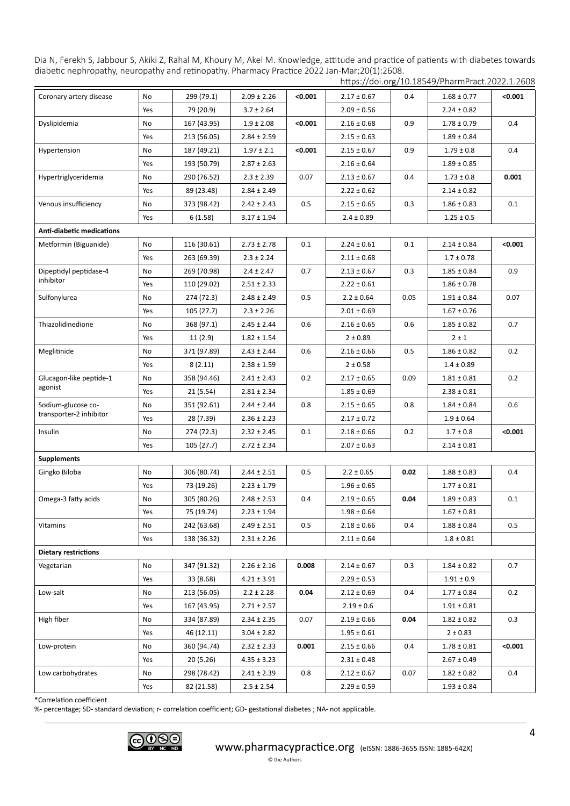|                             |     |             |                 |         |                 |      | https://doi.org/10.18549/PharmPract.2022.1.2608 |         |
|-----------------------------|-----|-------------|-----------------|---------|-----------------|------|-------------------------------------------------|---------|
| Coronary artery disease     | No  | 299 (79.1)  | $2.09 \pm 2.26$ | < 0.001 | $2.17 \pm 0.67$ | 0.4  | $1.68 \pm 0.77$                                 | < 0.001 |
|                             | Yes | 79 (20.9)   | $3.7 \pm 2.64$  |         | $2.09 \pm 0.56$ |      | $2.24 \pm 0.82$                                 |         |
| Dyslipidemia                | No  | 167 (43.95) | $1.9 \pm 2.08$  | < 0.001 | $2.16 \pm 0.68$ | 0.9  | $1.78 \pm 0.79$                                 | 0.4     |
|                             | Yes | 213 (56.05) | $2.84 \pm 2.59$ |         | $2.15 \pm 0.63$ |      | $1.89 \pm 0.84$                                 |         |
| Hypertension                | No  | 187 (49.21) | $1.97 \pm 2.1$  | < 0.001 | $2.15 \pm 0.67$ | 0.9  | $1.79 \pm 0.8$                                  | 0.4     |
|                             | Yes | 193 (50.79) | $2.87 \pm 2.63$ |         | $2.16 \pm 0.64$ |      | $1.89 \pm 0.85$                                 |         |
| Hypertriglyceridemia        | No  | 290 (76.52) | $2.3 \pm 2.39$  | 0.07    | $2.13 \pm 0.67$ | 0.4  | $1.73 \pm 0.8$                                  | 0.001   |
|                             | Yes | 89 (23.48)  | $2.84 \pm 2.49$ |         | $2.22 \pm 0.62$ |      | $2.14 \pm 0.82$                                 |         |
| Venous insufficiency        | No  | 373 (98.42) | $2.42 \pm 2.43$ | 0.5     | $2.15 \pm 0.65$ | 0.3  | $1.86 \pm 0.83$                                 | 0.1     |
|                             | Yes | 6(1.58)     | $3.17 \pm 1.94$ |         | $2.4 \pm 0.89$  |      | $1.25 \pm 0.5$                                  |         |
| Anti-diabetic medications   |     |             |                 |         |                 |      |                                                 |         |
| Metformin (Biguanide)       | No  | 116 (30.61) | $2.73 \pm 2.78$ | 0.1     | $2.24 \pm 0.61$ | 0.1  | $2.14 \pm 0.84$                                 | < 0.001 |
|                             | Yes | 263 (69.39) | $2.3 \pm 2.24$  |         | $2.11 \pm 0.68$ |      | $1.7 \pm 0.78$                                  |         |
| Dipeptidyl peptidase-4      | No  | 269 (70.98) | $2.4 \pm 2.47$  | 0.7     | $2.13 \pm 0.67$ | 0.3  | $1.85 \pm 0.84$                                 | 0.9     |
| inhibitor                   | Yes | 110 (29.02) | $2.51 \pm 2.33$ |         | $2.22 \pm 0.61$ |      | $1.86 \pm 0.78$                                 |         |
| Sulfonylurea                | No  | 274 (72.3)  | $2.48 \pm 2.49$ | 0.5     | $2.2 \pm 0.64$  | 0.05 | $1.91 \pm 0.84$                                 | 0.07    |
|                             | Yes | 105 (27.7)  | $2.3 \pm 2.26$  |         | $2.01 \pm 0.69$ |      | $1.67 \pm 0.76$                                 |         |
| Thiazolidinedione           | No  | 368 (97.1)  | $2.45 \pm 2.44$ | 0.6     | $2.16 \pm 0.65$ | 0.6  | $1.85 \pm 0.82$                                 | 0.7     |
|                             | Yes | 11(2.9)     | $1.82 \pm 1.54$ |         | $2 \pm 0.89$    |      | $2 \pm 1$                                       |         |
| Meglitinide                 | No  | 371 (97.89) | $2.43 \pm 2.44$ | 0.6     | $2.16 \pm 0.66$ | 0.5  | $1.86 \pm 0.82$                                 | 0.2     |
|                             | Yes | 8(2.11)     | $2.38 \pm 1.59$ |         | $2 \pm 0.58$    |      | $1.4 \pm 0.89$                                  |         |
| Glucagon-like peptide-1     | No  | 358 (94.46) | $2.41 \pm 2.43$ | 0.2     | $2.17 \pm 0.65$ | 0.09 | $1.81 \pm 0.81$                                 | 0.2     |
| agonist                     | Yes | 21 (5.54)   | $2.81 \pm 2.34$ |         | $1.85 \pm 0.69$ |      | $2.38 \pm 0.81$                                 |         |
| Sodium-glucose co-          | No  | 351 (92.61) | $2.44 \pm 2.44$ | 0.8     | $2.15 \pm 0.65$ | 0.8  | $1.84 \pm 0.84$                                 | 0.6     |
| transporter-2 inhibitor     | Yes | 28 (7.39)   | $2.36 \pm 2.23$ |         | $2.17 \pm 0.72$ |      | $1.9 \pm 0.64$                                  |         |
| Insulin                     | No  | 274 (72.3)  | $2.32 \pm 2.45$ | 0.1     | $2.18 \pm 0.66$ | 0.2  | $1.7 \pm 0.8$                                   | < 0.001 |
|                             | Yes | 105 (27.7)  | $2.72 \pm 2.34$ |         | $2.07 \pm 0.63$ |      | $2.14 \pm 0.81$                                 |         |
| <b>Supplements</b>          |     |             |                 |         |                 |      |                                                 |         |
| Gingko Biloba               | No  | 306 (80.74) | $2.44 \pm 2.51$ | 0.5     | $2.2 \pm 0.65$  | 0.02 | $1.88 \pm 0.83$                                 | 0.4     |
|                             | Yes | 73 (19.26)  | $2.23 \pm 1.79$ |         | $1.96 \pm 0.65$ |      | $1.77 \pm 0.81$                                 |         |
| Omega-3 fatty acids         | No  | 305 (80.26) | $2.48 \pm 2.53$ | 0.4     | $2.19 \pm 0.65$ | 0.04 | $1.89 \pm 0.83$                                 | 0.1     |
|                             | Yes | 75 (19.74)  | $2.23 \pm 1.94$ |         | $1.98 \pm 0.64$ |      | $1.67 \pm 0.81$                                 |         |
| Vitamins                    | No  | 242 (63.68) | $2.49 \pm 2.51$ | 0.5     | $2.18 \pm 0.66$ | 0.4  | $1.88 \pm 0.84$                                 | 0.5     |
|                             | Yes | 138 (36.32) | $2.31 \pm 2.26$ |         | $2.11 \pm 0.64$ |      | $1.8 \pm 0.81$                                  |         |
| <b>Dietary restrictions</b> |     |             |                 |         |                 |      |                                                 |         |
| Vegetarian                  | No  | 347 (91.32) | $2.26 \pm 2.16$ | 0.008   | $2.14 \pm 0.67$ | 0.3  | $1.84 \pm 0.82$                                 | 0.7     |
|                             | Yes | 33 (8.68)   | $4.21 \pm 3.91$ |         | $2.29 \pm 0.53$ |      | $1.91 \pm 0.9$                                  |         |
| Low-salt                    | No  | 213 (56.05) | $2.2 \pm 2.28$  | 0.04    | $2.12 \pm 0.69$ | 0.4  | $1.77 \pm 0.84$                                 | 0.2     |
|                             | Yes | 167 (43.95) | $2.71 \pm 2.57$ |         | $2.19 \pm 0.6$  |      | $1.91 \pm 0.81$                                 |         |
| High fiber                  | No  | 334 (87.89) | $2.34 \pm 2.35$ | 0.07    | $2.19 \pm 0.66$ | 0.04 | $1.82 \pm 0.82$                                 | 0.3     |
|                             | Yes | 46 (12.11)  | $3.04 \pm 2.82$ |         | $1.95 \pm 0.61$ |      | $2 \pm 0.83$                                    |         |
| Low-protein                 | No  | 360 (94.74) | $2.32 \pm 2.33$ | 0.001   | $2.15 \pm 0.66$ | 0.4  | $1.78 \pm 0.81$                                 | < 0.001 |
|                             | Yes | 20 (5.26)   | $4.35 \pm 3.23$ |         | $2.31 \pm 0.48$ |      | $2.67 \pm 0.49$                                 |         |
| Low carbohydrates           | No  | 298 (78.42) | $2.41 \pm 2.39$ | 0.8     | $2.12 \pm 0.67$ | 0.07 | $1.82 \pm 0.82$                                 | 0.4     |
|                             | Yes | 82 (21.58)  | $2.5 \pm 2.54$  |         | $2.29 \pm 0.59$ |      | $1.93 \pm 0.84$                                 |         |

\*Correlation coefficient

%- percentage; SD- standard deviation; r- correlation coefficient; GD- gestational diabetes ; NA- not applicable.



© the Authors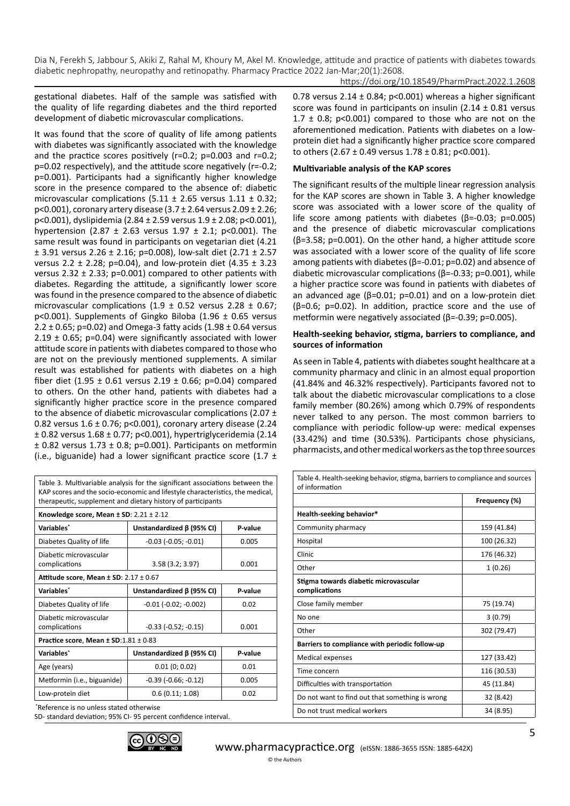https://doi.org/10.18549/PharmPract.2022.1.2608

gestational diabetes. Half of the sample was satisfied with the quality of life regarding diabetes and the third reported development of diabetic microvascular complications.

It was found that the score of quality of life among patients with diabetes was significantly associated with the knowledge and the practice scores positively (r=0.2; p=0.003 and r=0.2; p=0.02 respectively), and the attitude score negatively (r=-0.2; p=0.001). Participants had a significantly higher knowledge score in the presence compared to the absence of: diabetic microvascular complications (5.11  $\pm$  2.65 versus 1.11  $\pm$  0.32; p<0.001), coronary artery disease (3.7 ± 2.64 versus 2.09 ± 2.26; p<0.001), dyslipidemia (2.84 ± 2.59 versus 1.9 ± 2.08; p<0.001), hypertension (2.87  $\pm$  2.63 versus 1.97  $\pm$  2.1; p<0.001). The same result was found in participants on vegetarian diet (4.21 ± 3.91 versus 2.26 ± 2.16; p=0.008), low-salt diet (2.71 ± 2.57 versus 2.2  $\pm$  2.28; p=0.04), and low-protein diet (4.35  $\pm$  3.23 versus 2.32  $\pm$  2.33; p=0.001) compared to other patients with diabetes. Regarding the attitude, a significantly lower score was found in the presence compared to the absence of diabetic microvascular complications (1.9  $\pm$  0.52 versus 2.28  $\pm$  0.67; p<0.001). Supplements of Gingko Biloba (1.96 ± 0.65 versus 2.2  $\pm$  0.65; p=0.02) and Omega-3 fatty acids (1.98  $\pm$  0.64 versus 2.19  $\pm$  0.65; p=0.04) were significantly associated with lower attitude score in patients with diabetes compared to those who are not on the previously mentioned supplements. A similar result was established for patients with diabetes on a high fiber diet (1.95  $\pm$  0.61 versus 2.19  $\pm$  0.66; p=0.04) compared to others. On the other hand, patients with diabetes had a significantly higher practice score in the presence compared to the absence of diabetic microvascular complications (2.07  $\pm$ 0.82 versus 1.6 ± 0.76; p<0.001), coronary artery disease (2.24 ± 0.82 versus 1.68 ± 0.77; p<0.001), hypertriglyceridemia (2.14  $\pm$  0.82 versus 1.73  $\pm$  0.8; p=0.001). Participants on metformin (i.e., biguanide) had a lower significant practice score (1.7  $\pm$ 

Table 3. Multivariable analysis for the significant associations between the KAP scores and the socio-economic and lifestyle characteristics, the medical, therapeutic, supplement and dietary history of participants

| Knowledge score, Mean $\pm$ SD: 2.21 $\pm$ 2.12                                                                 |                                 |         |  |  |  |  |  |
|-----------------------------------------------------------------------------------------------------------------|---------------------------------|---------|--|--|--|--|--|
| Variables*                                                                                                      | Unstandardized $\beta$ (95% CI) | P-value |  |  |  |  |  |
| Diabetes Quality of life                                                                                        | $-0.03$ $(-0.05; -0.01)$        | 0.005   |  |  |  |  |  |
| Diabetic microvascular<br>complications                                                                         | 3.58(3.2; 3.97)                 | 0.001   |  |  |  |  |  |
| Attitude score, Mean $\pm$ SD: 2.17 $\pm$ 0.67                                                                  |                                 |         |  |  |  |  |  |
| Variables*                                                                                                      | Unstandardized B (95% CI)       | P-value |  |  |  |  |  |
| Diabetes Quality of life                                                                                        | $-0.01$ ( $-0.02$ ; $-0.002$ )  | 0.02    |  |  |  |  |  |
| Diabetic microvascular<br>complications                                                                         | $-0.33$ $(-0.52; -0.15)$        | 0.001   |  |  |  |  |  |
| Practice score, Mean ± SD:1.81 ± 0.83                                                                           |                                 |         |  |  |  |  |  |
| Variables*                                                                                                      | Unstandardized B (95% CI)       | P-value |  |  |  |  |  |
| Age (years)                                                                                                     | 0.01(0; 0.02)                   | 0.01    |  |  |  |  |  |
| Metformin (i.e., biguanide)                                                                                     | $-0.39$ ( $-0.66$ ; $-0.12$ )   | 0.005   |  |  |  |  |  |
| Low-protein diet                                                                                                | 0.6(0.11; 1.08)                 | 0.02    |  |  |  |  |  |
| * Branden and a contract and a contract and a contract of the contract of the contract of the contract of the c |                                 |         |  |  |  |  |  |

Reference is no unless stated otherwise

SD- standard deviation; 95% CI- 95 percent confidence interval.



0.78 versus 2.14  $\pm$  0.84; p<0.001) whereas a higher significant score was found in participants on insulin (2.14 ± 0.81 versus 1.7  $\pm$  0.8; p<0.001) compared to those who are not on the aforementioned medication. Patients with diabetes on a lowprotein diet had a significantly higher practice score compared to others (2.67 ± 0.49 versus  $1.78 \pm 0.81$ ; p<0.001).

#### **Multivariable analysis of the KAP scores**

The significant results of the multiple linear regression analysis for the KAP scores are shown in Table 3. A higher knowledge score was associated with a lower score of the quality of life score among patients with diabetes (β=-0.03; p=0.005) and the presence of diabetic microvascular complications (β=3.58; p=0.001). On the other hand, a higher attitude score was associated with a lower score of the quality of life score among patients with diabetes (β=-0.01; p=0.02) and absence of diabetic microvascular complications (β=-0.33; p=0.001), while a higher practice score was found in patients with diabetes of an advanced age (β=0.01; p=0.01) and on a low-protein diet (β=0.6; p=0.02). In addition, practice score and the use of metformin were negatively associated (β=-0.39; p=0.005).

#### **Health-seeking behavior, stigma, barriers to compliance, and sources of information**

As seen in Table 4, patients with diabetes sought healthcare at a community pharmacy and clinic in an almost equal proportion (41.84% and 46.32% respectively). Participants favored not to talk about the diabetic microvascular complications to a close family member (80.26%) among which 0.79% of respondents never talked to any person. The most common barriers to compliance with periodic follow-up were: medical expenses (33.42%) and time (30.53%). Participants chose physicians, pharmacists, and other medical workers as the top three sources

| Table 4. Health-seeking behavior, stigma, barriers to compliance and sources<br>of information |               |  |  |  |  |
|------------------------------------------------------------------------------------------------|---------------|--|--|--|--|
|                                                                                                | Frequency (%) |  |  |  |  |
| Health-seeking behavior*                                                                       |               |  |  |  |  |
| Community pharmacy                                                                             | 159 (41.84)   |  |  |  |  |
| Hospital                                                                                       | 100 (26.32)   |  |  |  |  |
| Clinic                                                                                         | 176 (46.32)   |  |  |  |  |
| Other                                                                                          | 1(0.26)       |  |  |  |  |
| Stigma towards diabetic microvascular<br>complications                                         |               |  |  |  |  |
| Close family member                                                                            | 75 (19.74)    |  |  |  |  |
| No one                                                                                         | 3(0.79)       |  |  |  |  |
| Other                                                                                          | 302 (79.47)   |  |  |  |  |
| Barriers to compliance with periodic follow-up                                                 |               |  |  |  |  |
| Medical expenses                                                                               | 127 (33.42)   |  |  |  |  |
| Time concern                                                                                   | 116 (30.53)   |  |  |  |  |
| Difficulties with transportation                                                               | 45 (11.84)    |  |  |  |  |
| Do not want to find out that something is wrong                                                | 32 (8.42)     |  |  |  |  |
| Do not trust medical workers<br>34 (8.95)                                                      |               |  |  |  |  |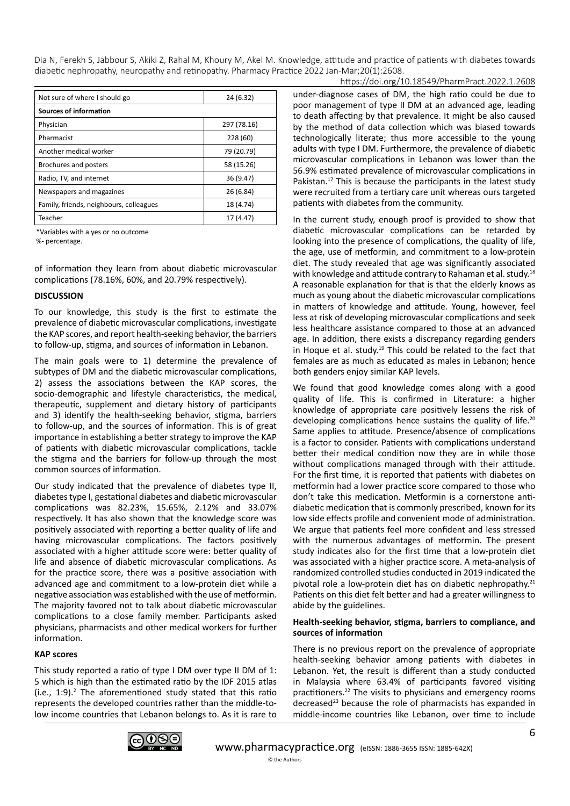| Not sure of where I should go           | 24 (6.32)   |  |  |  |  |
|-----------------------------------------|-------------|--|--|--|--|
| Sources of information                  |             |  |  |  |  |
| Physician                               | 297 (78.16) |  |  |  |  |
| Pharmacist                              | 228 (60)    |  |  |  |  |
| Another medical worker                  | 79 (20.79)  |  |  |  |  |
| Brochures and posters                   | 58 (15.26)  |  |  |  |  |
| Radio, TV, and internet                 | 36 (9.47)   |  |  |  |  |
| Newspapers and magazines                | 26 (6.84)   |  |  |  |  |
| Family, friends, neighbours, colleagues | 18 (4.74)   |  |  |  |  |
| Teacher                                 | 17 (4.47)   |  |  |  |  |

\*Variables with a yes or no outcome

%- percentage.

of information they learn from about diabetic microvascular complications (78.16%, 60%, and 20.79% respectively).

#### **DISCUSSION**

To our knowledge, this study is the first to estimate the prevalence of diabetic microvascular complications, investigate the KAP scores, and report health-seeking behavior, the barriers to follow-up, stigma, and sources of information in Lebanon.

The main goals were to 1) determine the prevalence of subtypes of DM and the diabetic microvascular complications, 2) assess the associations between the KAP scores, the socio-demographic and lifestyle characteristics, the medical, therapeutic, supplement and dietary history of participants and 3) identify the health-seeking behavior, stigma, barriers to follow-up, and the sources of information. This is of great importance in establishing a better strategy to improve the KAP of patients with diabetic microvascular complications, tackle the stigma and the barriers for follow-up through the most common sources of information.

Our study indicated that the prevalence of diabetes type II, diabetes type I, gestational diabetes and diabetic microvascular complications was 82.23%, 15.65%, 2.12% and 33.07% respectively. It has also shown that the knowledge score was positively associated with reporting a better quality of life and having microvascular complications. The factors positively associated with a higher attitude score were: better quality of life and absence of diabetic microvascular complications. As for the practice score, there was a positive association with advanced age and commitment to a low-protein diet while a negative association was established with the use of metformin. The majority favored not to talk about diabetic microvascular complications to a close family member. Participants asked physicians, pharmacists and other medical workers for further information.

#### **KAP scores**

This study reported a ratio of type I DM over type II DM of 1: 5 which is high than the estimated ratio by the IDF 2015 atlas (i.e., 1:9).2 The aforementioned study stated that this ratio represents the developed countries rather than the middle-tolow income countries that Lebanon belongs to. As it is rare to

https://doi.org/10.18549/PharmPract.2022.1.2608 under-diagnose cases of DM, the high ratio could be due to poor management of type II DM at an advanced age, leading to death affecting by that prevalence. It might be also caused by the method of data collection which was biased towards technologically literate; thus more accessible to the young adults with type I DM. Furthermore, the prevalence of diabetic microvascular complications in Lebanon was lower than the 56.9% estimated prevalence of microvascular complications in Pakistan.<sup>17</sup> This is because the participants in the latest study were recruited from a tertiary care unit whereas ours targeted patients with diabetes from the community.

In the current study, enough proof is provided to show that diabetic microvascular complications can be retarded by looking into the presence of complications, the quality of life, the age, use of metformin, and commitment to a low-protein diet. The study revealed that age was significantly associated with knowledge and attitude contrary to Rahaman et al. study.<sup>18</sup> A reasonable explanation for that is that the elderly knows as much as young about the diabetic microvascular complications in matters of knowledge and attitude. Young, however, feel less at risk of developing microvascular complications and seek less healthcare assistance compared to those at an advanced age. In addition, there exists a discrepancy regarding genders in Hoque et al. study.<sup>19</sup> This could be related to the fact that females are as much as educated as males in Lebanon; hence both genders enjoy similar KAP levels.

We found that good knowledge comes along with a good quality of life. This is confirmed in Literature: a higher knowledge of appropriate care positively lessens the risk of developing complications hence sustains the quality of life.<sup>20</sup> Same applies to attitude. Presence/absence of complications is a factor to consider. Patients with complications understand better their medical condition now they are in while those without complications managed through with their attitude. For the first time, it is reported that patients with diabetes on metformin had a lower practice score compared to those who don't take this medication. Metformin is a cornerstone antidiabetic medication that is commonly prescribed, known for its low side effects profile and convenient mode of administration. We argue that patients feel more confident and less stressed with the numerous advantages of metformin. The present study indicates also for the first time that a low-protein diet was associated with a higher practice score. A meta-analysis of randomized controlled studies conducted in 2019 indicated the pivotal role a low-protein diet has on diabetic nephropathy.<sup>21</sup> Patients on this diet felt better and had a greater willingness to abide by the guidelines.

#### **Health-seeking behavior, stigma, barriers to compliance, and sources of information**

There is no previous report on the prevalence of appropriate health-seeking behavior among patients with diabetes in Lebanon. Yet, the result is different than a study conducted in Malaysia where 63.4% of participants favored visiting practitioners.22 The visits to physicians and emergency rooms decreased23 because the role of pharmacists has expanded in middle-income countries like Lebanon, over time to include

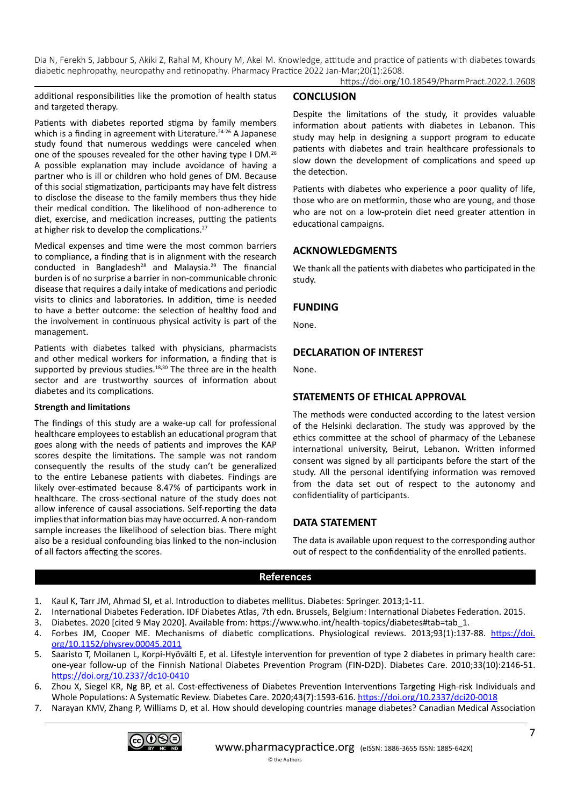https://doi.org/10.18549/PharmPract.2022.1.2608

additional responsibilities like the promotion of health status and targeted therapy.

Patients with diabetes reported stigma by family members which is a finding in agreement with Literature.<sup>24-26</sup> A Japanese study found that numerous weddings were canceled when one of the spouses revealed for the other having type I DM.26 A possible explanation may include avoidance of having a partner who is ill or children who hold genes of DM. Because of this social stigmatization, participants may have felt distress to disclose the disease to the family members thus they hide their medical condition. The likelihood of non-adherence to diet, exercise, and medication increases, putting the patients at higher risk to develop the complications.27

Medical expenses and time were the most common barriers to compliance, a finding that is in alignment with the research conducted in Bangladesh<sup>28</sup> and Malaysia.<sup>29</sup> The financial burden is of no surprise a barrier in non-communicable chronic disease that requires a daily intake of medications and periodic visits to clinics and laboratories. In addition, time is needed to have a better outcome: the selection of healthy food and the involvement in continuous physical activity is part of the management.

Patients with diabetes talked with physicians, pharmacists and other medical workers for information, a finding that is supported by previous studies.<sup>18,30</sup> The three are in the health sector and are trustworthy sources of information about diabetes and its complications.

#### **Strength and limitations**

The findings of this study are a wake-up call for professional healthcare employees to establish an educational program that goes along with the needs of patients and improves the KAP scores despite the limitations. The sample was not random consequently the results of the study can't be generalized to the entire Lebanese patients with diabetes. Findings are likely over-estimated because 8.47% of participants work in healthcare. The cross-sectional nature of the study does not allow inference of causal associations. Self-reporting the data implies that information bias may have occurred. A non-random sample increases the likelihood of selection bias. There might also be a residual confounding bias linked to the non-inclusion of all factors affecting the scores.

## **CONCLUSION**

Despite the limitations of the study, it provides valuable information about patients with diabetes in Lebanon. This study may help in designing a support program to educate patients with diabetes and train healthcare professionals to slow down the development of complications and speed up the detection.

Patients with diabetes who experience a poor quality of life, those who are on metformin, those who are young, and those who are not on a low-protein diet need greater attention in educational campaigns.

# **ACKNOWLEDGMENTS**

We thank all the patients with diabetes who participated in the study.

## **FUNDING**

None.

# **DECLARATION OF INTEREST**

None.

# **STATEMENTS OF ETHICAL APPROVAL**

The methods were conducted according to the latest version of the Helsinki declaration. The study was approved by the ethics committee at the school of pharmacy of the Lebanese international university, Beirut, Lebanon. Written informed consent was signed by all participants before the start of the study. All the personal identifying information was removed from the data set out of respect to the autonomy and confidentiality of participants.

# **DATA STATEMENT**

The data is available upon request to the corresponding author out of respect to the confidentiality of the enrolled patients.

#### **References**

- 1. Kaul K, Tarr JM, Ahmad SI, et al. Introduction to diabetes mellitus. Diabetes: Springer. 2013;1-11.
- 2. International Diabetes Federation. IDF Diabetes Atlas, 7th edn. Brussels, Belgium: International Diabetes Federation. 2015.
- 3. Diabetes. 2020 [cited 9 May 2020]. Available from: https://www.who.int/health-topics/diabetes#tab=tab\_1.
- 4. Forbes JM, Cooper ME. Mechanisms of diabetic complications. Physiological reviews. 2013;93(1):137-88. [https://doi.](https://doi.org/10.1152/physrev.00045.2011) [org/10.1152/physrev.00045.2011](https://doi.org/10.1152/physrev.00045.2011)
- 5. Saaristo T, Moilanen L, Korpi-Hyövälti E, et al. Lifestyle intervention for prevention of type 2 diabetes in primary health care: one-year follow-up of the Finnish National Diabetes Prevention Program (FIN-D2D). Diabetes Care. 2010;33(10):2146-51. <https://doi.org/10.2337/dc10-0410>
- 6. Zhou X, Siegel KR, Ng BP, et al. Cost-effectiveness of Diabetes Prevention Interventions Targeting High-risk Individuals and Whole Populations: A Systematic Review. Diabetes Care. 2020;43(7):1593-616. <https://doi.org/10.2337/dci20-0018>
- 7. Narayan KMV, Zhang P, Williams D, et al. How should developing countries manage diabetes? Canadian Medical Association